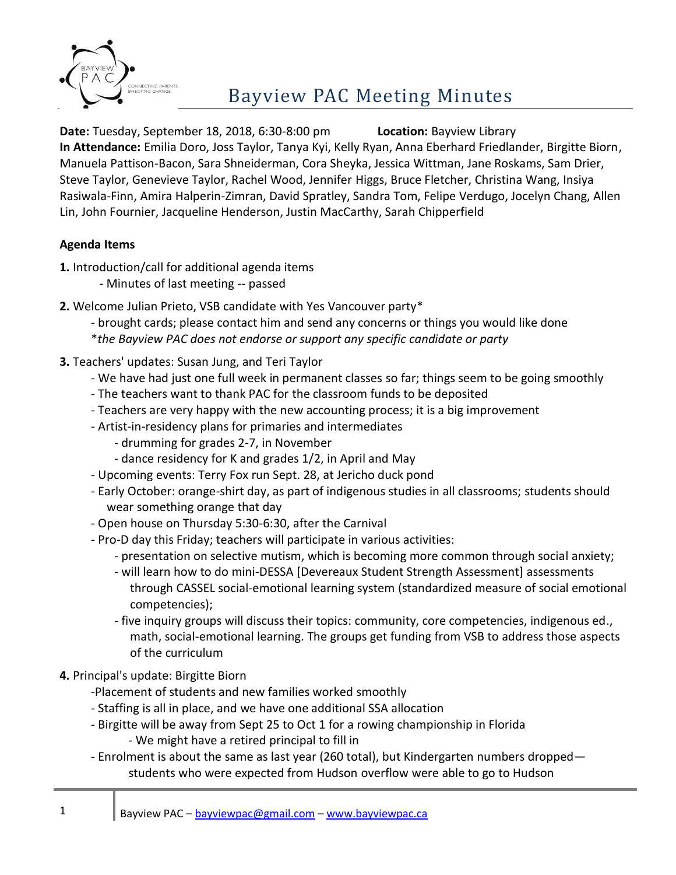

## **Bayview PAC Meeting Minutes**

**Date:** Tuesday, September 18, 2018, 6:30-8:00 pm **Location:** Bayview Library **In Attendance:** Emilia Doro, Joss Taylor, Tanya Kyi, Kelly Ryan, Anna Eberhard Friedlander, Birgitte Biorn, Manuela Pattison-Bacon, Sara Shneiderman, Cora Sheyka, Jessica Wittman, Jane Roskams, Sam Drier, Steve Taylor, Genevieve Taylor, Rachel Wood, Jennifer Higgs, Bruce Fletcher, Christina Wang, Insiya Rasiwala-Finn, Amira Halperin-Zimran, David Spratley, Sandra Tom, Felipe Verdugo, Jocelyn Chang, Allen Lin, John Fournier, Jacqueline Henderson, Justin MacCarthy, Sarah Chipperfield

## **Agenda Items**

- **1.** Introduction/call for additional agenda items
	- Minutes of last meeting -- passed
- **2.** Welcome Julian Prieto, VSB candidate with Yes Vancouver party\*
	- brought cards; please contact him and send any concerns or things you would like done
	- \**the Bayview PAC does not endorse or support any specific candidate or party*
- **3.** Teachers' updates: Susan Jung, and Teri Taylor
	- We have had just one full week in permanent classes so far; things seem to be going smoothly
	- The teachers want to thank PAC for the classroom funds to be deposited
	- Teachers are very happy with the new accounting process; it is a big improvement
	- Artist-in-residency plans for primaries and intermediates
		- drumming for grades 2-7, in November
		- dance residency for K and grades 1/2, in April and May
	- Upcoming events: Terry Fox run Sept. 28, at Jericho duck pond
	- Early October: orange-shirt day, as part of indigenous studies in all classrooms; students should wear something orange that day
	- Open house on Thursday 5:30-6:30, after the Carnival
	- Pro-D day this Friday; teachers will participate in various activities:
		- presentation on selective mutism, which is becoming more common through social anxiety;
		- will learn how to do mini-DESSA [Devereaux Student Strength Assessment] assessments through CASSEL social-emotional learning system (standardized measure of social emotional competencies);
		- five inquiry groups will discuss their topics: community, core competencies, indigenous ed., math, social-emotional learning. The groups get funding from VSB to address those aspects of the curriculum
- **4.** Principal's update: Birgitte Biorn
	- -Placement of students and new families worked smoothly
	- Staffing is all in place, and we have one additional SSA allocation
	- Birgitte will be away from Sept 25 to Oct 1 for a rowing championship in Florida
		- We might have a retired principal to fill in
	- Enrolment is about the same as last year (260 total), but Kindergarten numbers dropped students who were expected from Hudson overflow were able to go to Hudson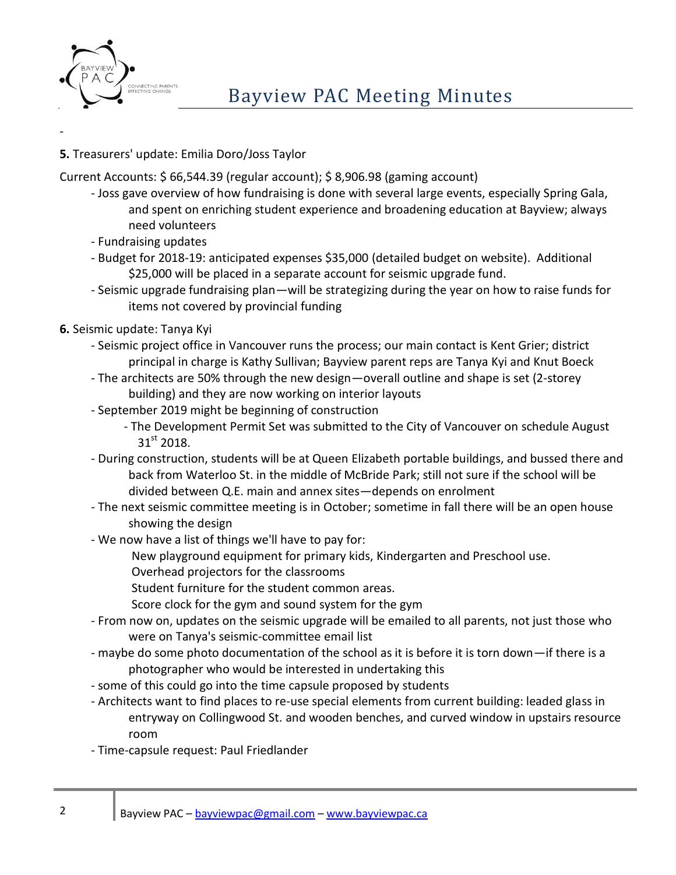

-

## **5.** Treasurers' update: Emilia Doro/Joss Taylor

Current Accounts: \$ 66,544.39 (regular account); \$ 8,906.98 (gaming account)

- Joss gave overview of how fundraising is done with several large events, especially Spring Gala, and spent on enriching student experience and broadening education at Bayview; always need volunteers
- Fundraising updates
- Budget for 2018-19: anticipated expenses \$35,000 (detailed budget on website). Additional \$25,000 will be placed in a separate account for seismic upgrade fund.
- Seismic upgrade fundraising plan—will be strategizing during the year on how to raise funds for items not covered by provincial funding
- **6.** Seismic update: Tanya Kyi
	- Seismic project office in Vancouver runs the process; our main contact is Kent Grier; district principal in charge is Kathy Sullivan; Bayview parent reps are Tanya Kyi and Knut Boeck
	- The architects are 50% through the new design—overall outline and shape is set (2-storey building) and they are now working on interior layouts
	- September 2019 might be beginning of construction
		- The Development Permit Set was submitted to the City of Vancouver on schedule August  $31<sup>st</sup>$  2018.
	- During construction, students will be at Queen Elizabeth portable buildings, and bussed there and back from Waterloo St. in the middle of McBride Park; still not sure if the school will be divided between Q.E. main and annex sites—depends on enrolment
	- The next seismic committee meeting is in October; sometime in fall there will be an open house showing the design
	- We now have a list of things we'll have to pay for:
		- New playground equipment for primary kids, Kindergarten and Preschool use.
		- Overhead projectors for the classrooms
		- Student furniture for the student common areas.
		- Score clock for the gym and sound system for the gym
	- From now on, updates on the seismic upgrade will be emailed to all parents, not just those who were on Tanya's seismic-committee email list
	- maybe do some photo documentation of the school as it is before it is torn down—if there is a photographer who would be interested in undertaking this
	- some of this could go into the time capsule proposed by students
	- Architects want to find places to re-use special elements from current building: leaded glass in entryway on Collingwood St. and wooden benches, and curved window in upstairs resource room
	- Time-capsule request: Paul Friedlander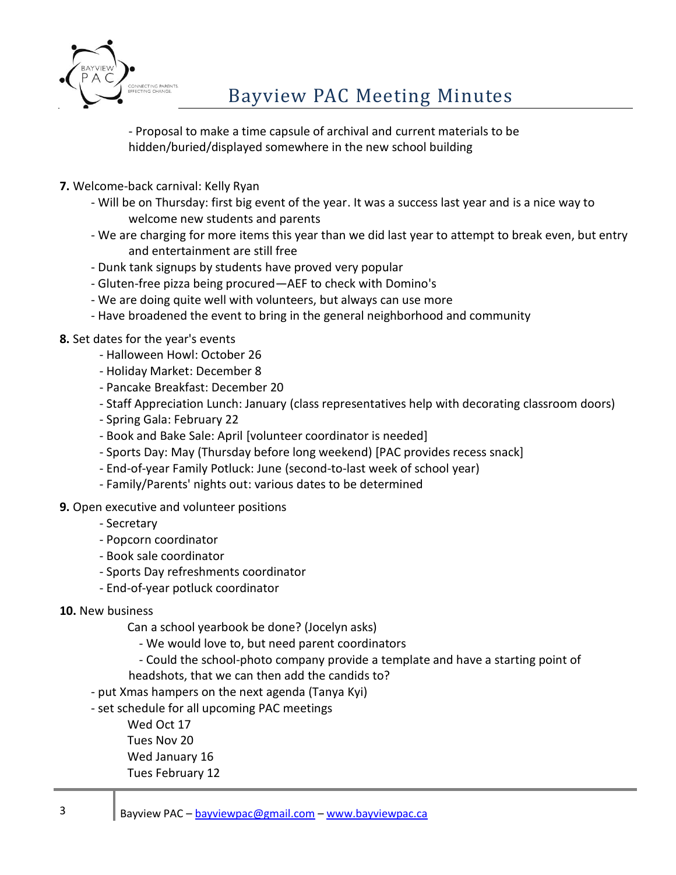

- Proposal to make a time capsule of archival and current materials to be hidden/buried/displayed somewhere in the new school building

- **7.** Welcome-back carnival: Kelly Ryan
	- Will be on Thursday: first big event of the year. It was a success last year and is a nice way to welcome new students and parents
	- We are charging for more items this year than we did last year to attempt to break even, but entry and entertainment are still free
	- Dunk tank signups by students have proved very popular
	- Gluten-free pizza being procured—AEF to check with Domino's
	- We are doing quite well with volunteers, but always can use more
	- Have broadened the event to bring in the general neighborhood and community
- **8.** Set dates for the year's events
	- Halloween Howl: October 26
	- Holiday Market: December 8
	- Pancake Breakfast: December 20
	- Staff Appreciation Lunch: January (class representatives help with decorating classroom doors)
	- Spring Gala: February 22
	- Book and Bake Sale: April [volunteer coordinator is needed]
	- Sports Day: May (Thursday before long weekend) [PAC provides recess snack]
	- End-of-year Family Potluck: June (second-to-last week of school year)
	- Family/Parents' nights out: various dates to be determined
- **9.** Open executive and volunteer positions
	- Secretary
	- Popcorn coordinator
	- Book sale coordinator
	- Sports Day refreshments coordinator
	- End-of-year potluck coordinator
- **10.** New business

Can a school yearbook be done? (Jocelyn asks)

- We would love to, but need parent coordinators
- Could the school-photo company provide a template and have a starting point of
- headshots, that we can then add the candids to?
- put Xmas hampers on the next agenda (Tanya Kyi)
- set schedule for all upcoming PAC meetings

Wed Oct 17 Tues Nov 20 Wed January 16 Tues February 12